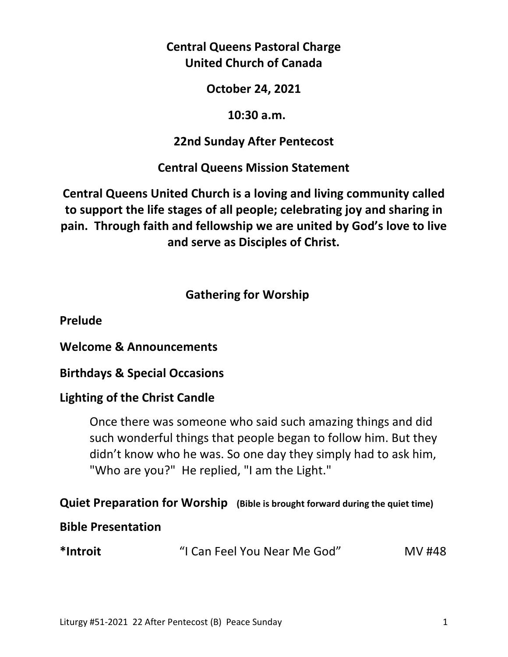## **Central Queens Pastoral Charge United Church of Canada**

#### **October 24, 2021**

### **10:30 a.m.**

### **22nd Sunday After Pentecost**

## **Central Queens Mission Statement**

# **Central Queens United Church is a loving and living community called to support the life stages of all people; celebrating joy and sharing in pain. Through faith and fellowship we are united by God's love to live and serve as Disciples of Christ.**

## **Gathering for Worship**

### **Prelude**

### **Welcome & Announcements**

## **Birthdays & Special Occasions**

## **Lighting of the Christ Candle**

 Once there was someone who said such amazing things and did such wonderful things that people began to follow him. But they didn't know who he was. So one day they simply had to ask him, "Who are you?" He replied, "I am the Light."

# **Quiet Preparation for Worship (Bible is brought forward during the quiet time)**

### **Bible Presentation**

| *Introit | "I Can Feel You Near Me God" | MV #48 |
|----------|------------------------------|--------|
|----------|------------------------------|--------|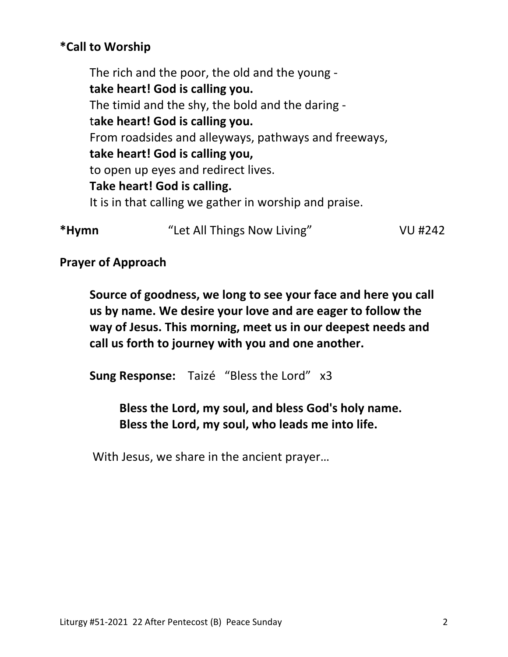## **\*Call to Worship**

 The rich and the poor, the old and the young  **take heart! God is calling you.**  The timid and the shy, the bold and the daring t**ake heart! God is calling you.**  From roadsides and alleyways, pathways and freeways,  **take heart! God is calling you,**  to open up eyes and redirect lives.  **Take heart! God is calling.**  It is in that calling we gather in worship and praise.

**\*Hymn** "Let All Things Now Living" VU #242

**Prayer of Approach** 

 **Source of goodness, we long to see your face and here you call us by name. We desire your love and are eager to follow the way of Jesus. This morning, meet us in our deepest needs and call us forth to journey with you and one another.** 

 **Sung Response:** Taizé"Bless the Lord" x3

 **Bless the Lord, my soul, and bless God's holy name. Bless the Lord, my soul, who leads me into life.** 

With Jesus, we share in the ancient prayer…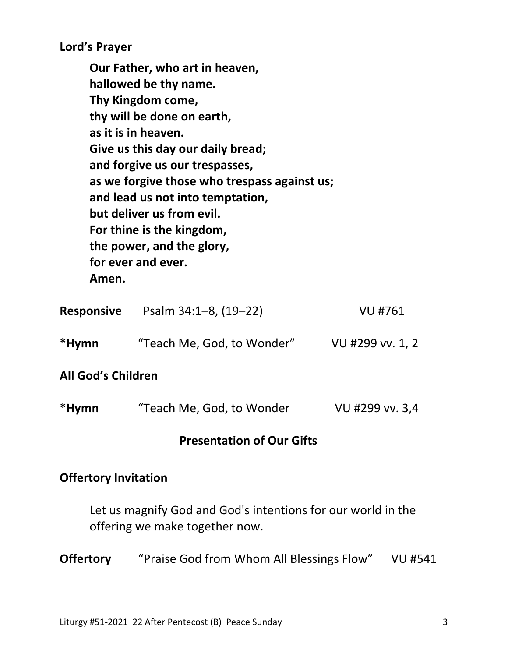**Lord's Prayer** 

**Our Father, who art in heaven, hallowed be thy name. Thy Kingdom come, thy will be done on earth, as it is in heaven. Give us this day our daily bread; and forgive us our trespasses, as we forgive those who trespass against us; and lead us not into temptation, but deliver us from evil. For thine is the kingdom, the power, and the glory, for ever and ever. Amen.** 

| <b>Responsive</b>         | Psalm 34:1-8, (19-22)      | <b>VU #761</b>   |
|---------------------------|----------------------------|------------------|
| *Hymn                     | "Teach Me, God, to Wonder" | VU #299 vv. 1, 2 |
| <b>All God's Children</b> |                            |                  |

| *Hymn | "Teach Me, God, to Wonder | VU #299 vv. 3,4 |
|-------|---------------------------|-----------------|
|-------|---------------------------|-----------------|

#### **Presentation of Our Gifts**

#### **Offertory Invitation**

 Let us magnify God and God's intentions for our world in the offering we make together now.

**Offertory** "Praise God from Whom All Blessings Flow" VU #541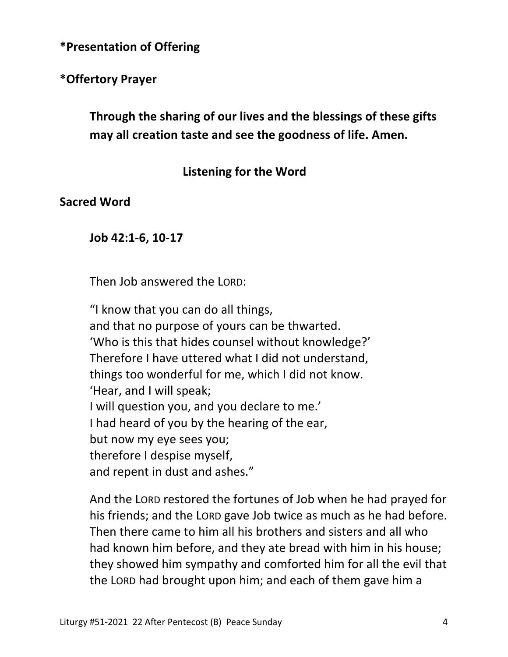**\*Presentation of Offering** 

**\*Offertory Prayer** 

 **Through the sharing of our lives and the blessings of these gifts may all creation taste and see the goodness of life. Amen.** 

### **Listening for the Word**

**Sacred Word** 

**Job 42:1-6, 10-17** 

Then Job answered the LORD:

"I know that you can do all things, and that no purpose of yours can be thwarted. 'Who is this that hides counsel without knowledge?' Therefore I have uttered what I did not understand, things too wonderful for me, which I did not know. 'Hear, and I will speak; I will question you, and you declare to me.' I had heard of you by the hearing of the ear, but now my eye sees you; therefore I despise myself, and repent in dust and ashes."

And the LORD restored the fortunes of Job when he had prayed for his friends; and the LORD gave Job twice as much as he had before. Then there came to him all his brothers and sisters and all who had known him before, and they ate bread with him in his house; they showed him sympathy and comforted him for all the evil that the LORD had brought upon him; and each of them gave him a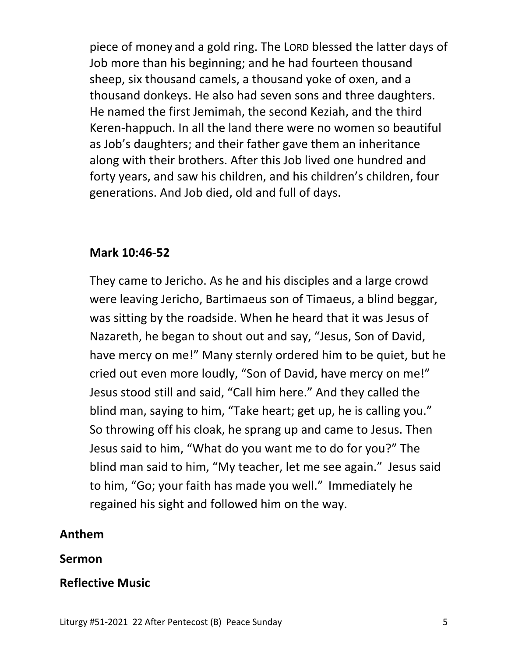piece of money and a gold ring. The LORD blessed the latter days of Job more than his beginning; and he had fourteen thousand sheep, six thousand camels, a thousand yoke of oxen, and a thousand donkeys. He also had seven sons and three daughters. He named the first Jemimah, the second Keziah, and the third Keren-happuch. In all the land there were no women so beautiful as Job's daughters; and their father gave them an inheritance along with their brothers. After this Job lived one hundred and forty years, and saw his children, and his children's children, four generations. And Job died, old and full of days.

### **Mark 10:46-52**

They came to Jericho. As he and his disciples and a large crowd were leaving Jericho, Bartimaeus son of Timaeus, a blind beggar, was sitting by the roadside. When he heard that it was Jesus of Nazareth, he began to shout out and say, "Jesus, Son of David, have mercy on me!" Many sternly ordered him to be quiet, but he cried out even more loudly, "Son of David, have mercy on me!" Jesus stood still and said, "Call him here." And they called the blind man, saying to him, "Take heart; get up, he is calling you." So throwing off his cloak, he sprang up and came to Jesus. Then Jesus said to him, "What do you want me to do for you?" The blind man said to him, "My teacher, let me see again." Jesus said to him, "Go; your faith has made you well." Immediately he regained his sight and followed him on the way.

## **Anthem**

#### **Sermon**

### **Reflective Music**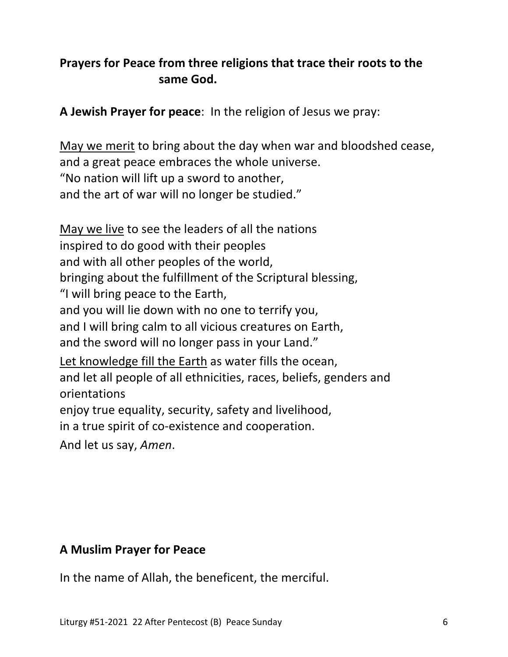## **Prayers for Peace from three religions that trace their roots to the same God.**

**A Jewish Prayer for peace**: In the religion of Jesus we pray:

May we merit to bring about the day when war and bloodshed cease, and a great peace embraces the whole universe. "No nation will lift up a sword to another, and the art of war will no longer be studied."

May we live to see the leaders of all the nations inspired to do good with their peoples and with all other peoples of the world, bringing about the fulfillment of the Scriptural blessing, "I will bring peace to the Earth, and you will lie down with no one to terrify you, and I will bring calm to all vicious creatures on Earth, and the sword will no longer pass in your Land." Let knowledge fill the Earth as water fills the ocean, and let all people of all ethnicities, races, beliefs, genders and orientations enjoy true equality, security, safety and livelihood, in a true spirit of co-existence and cooperation. And let us say, *Amen*.

### **A Muslim Prayer for Peace**

In the name of Allah, the beneficent, the merciful.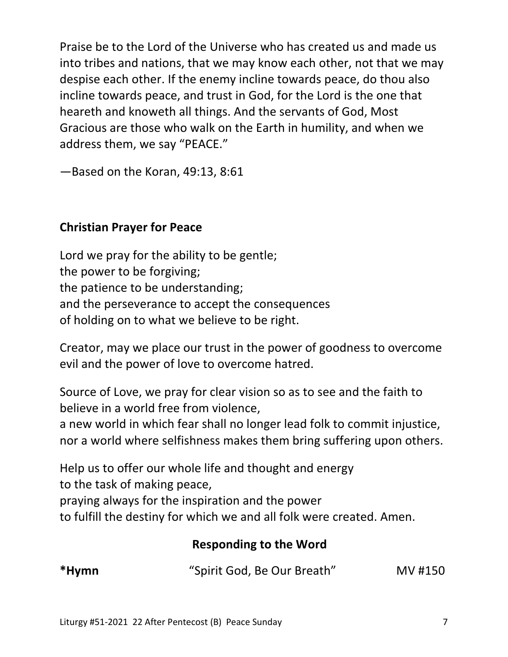Praise be to the Lord of the Universe who has created us and made us into tribes and nations, that we may know each other, not that we may despise each other. If the enemy incline towards peace, do thou also incline towards peace, and trust in God, for the Lord is the one that heareth and knoweth all things. And the servants of God, Most Gracious are those who walk on the Earth in humility, and when we address them, we say "PEACE."

—Based on the Koran, 49:13, 8:61

## **Christian Prayer for Peace**

Lord we pray for the ability to be gentle; the power to be forgiving; the patience to be understanding; and the perseverance to accept the consequences of holding on to what we believe to be right.

Creator, may we place our trust in the power of goodness to overcome evil and the power of love to overcome hatred.

Source of Love, we pray for clear vision so as to see and the faith to believe in a world free from violence,

a new world in which fear shall no longer lead folk to commit injustice, nor a world where selfishness makes them bring suffering upon others.

Help us to offer our whole life and thought and energy to the task of making peace,

praying always for the inspiration and the power

to fulfill the destiny for which we and all folk were created. Amen.

# **Responding to the Word**

| *Hymn | "Spirit God, Be Our Breath" | MV #150 |
|-------|-----------------------------|---------|
|-------|-----------------------------|---------|